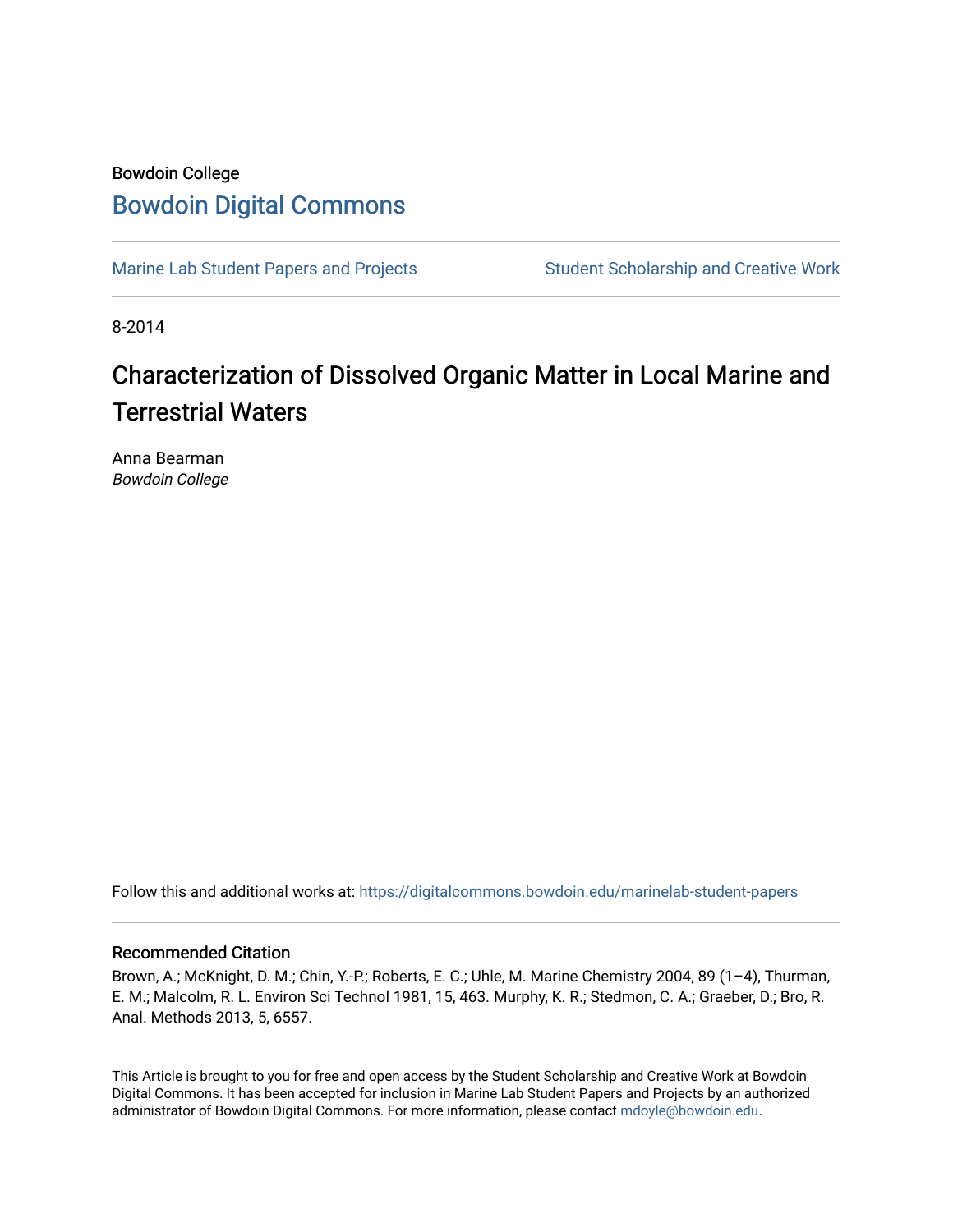## Bowdoin College [Bowdoin Digital Commons](https://digitalcommons.bowdoin.edu/)

[Marine Lab Student Papers and Projects](https://digitalcommons.bowdoin.edu/marinelab-student-papers) Student Scholarship and Creative Work

8-2014

# Characterization of Dissolved Organic Matter in Local Marine and Terrestrial Waters

Anna Bearman Bowdoin College

Follow this and additional works at: [https://digitalcommons.bowdoin.edu/marinelab-student-papers](https://digitalcommons.bowdoin.edu/marinelab-student-papers?utm_source=digitalcommons.bowdoin.edu%2Fmarinelab-student-papers%2F27&utm_medium=PDF&utm_campaign=PDFCoverPages) 

### Recommended Citation

Brown, A.; McKnight, D. M.; Chin, Y.-P.; Roberts, E. C.; Uhle, M. Marine Chemistry 2004, 89 (1–4), Thurman, E. M.; Malcolm, R. L. Environ Sci Technol 1981, 15, 463. Murphy, K. R.; Stedmon, C. A.; Graeber, D.; Bro, R. Anal. Methods 2013, 5, 6557.

This Article is brought to you for free and open access by the Student Scholarship and Creative Work at Bowdoin Digital Commons. It has been accepted for inclusion in Marine Lab Student Papers and Projects by an authorized administrator of Bowdoin Digital Commons. For more information, please contact [mdoyle@bowdoin.edu.](mailto:mdoyle@bowdoin.edu)